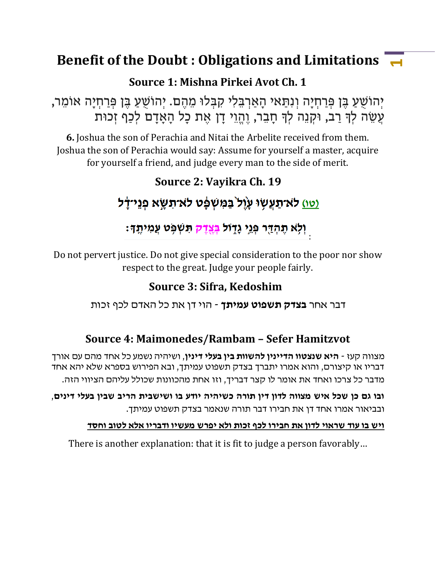# **Benefit of the Doubt : Obligations and Limitations <sup>1</sup>**

### **Source 1: Mishna Pirkei Avot Ch. 1**

יְהוֹשָׁעַ בֵּן פְּרַחְיָה וְנִתַּאי הָאַרְבֵּלִי קִבְּלוּ מֵהֶם. יְהוֹשָׁעַ בֵּן פְּרַחְיָה אוֹמֵר, עֵשֶּׁה לְךָ רַב, וּקְנֶה לְךָ חַבֶּר, וֶהֱוֵי דַן אֶת כָל הַאֲדָם לְכַף זְכוּת

**6.** Joshua the son of Perachia and Nitai the Arbelite received from them. Joshua the son of Perachia would say: Assume for yourself a master, acquire for yourself a friend, and judge every man to the side of merit.

### **Source 2: Vayikra Ch. 19**

## <u>ַ(טו)</u> לא־תַעֲשׂוּ עָׂוֶל בַּמְשִׁפָּט לא־תָשֶׂא פְנֵי־דָּל

# ַיְלָא תֶהְדַר פְּגֵי גְדֶוֹל <mark>בְּצֶדֶק ת</mark>ּשְׁפָּט עֲמִיתֶךָ:

Do not pervert justice. Do not give special consideration to the poor nor [show](http://bible.ort.org/books/pentd2.asp?ACTION=displaypage&BOOK=3&CHAPTER=19#C2494)  [respect](http://bible.ort.org/books/pentd2.asp?ACTION=displaypage&BOOK=3&CHAPTER=19#C2494) to the great. Judge your people fairly.

### **Source 3: Sifra, Kedoshim**

דבר אחר **בצדק תשפוט עמיתך** - הוי דן את כל האדם לכף זכות

### **Source 4: Maimonedes/Rambam – Sefer Hamitzvot**

מצווה קעז - **היא שנצטוו הדיינין להשוות בין בעלי דינין**, ושיהיה נשמע כל אחד מהם עם אורך דבריו או קיצורם, והוא אמרו יתברך בצדק תשפוט עמיתך, ובא הפירוש בספרא שלא יהא אחד מדבר כל צרכו ואחד את אומר לו קצר דבריך, וזו אחת מהכוונות שכולל עליהם הציווי הזה.

**ובו גם כן שכל איש מצווה לדון דין תורה כשיהיה יודע בו ושישבית הריב שבין בעלי דינים**, ובביאור אמרו אחד דן את חבירו דבר תורה שנאמר בצדק תשפוט עמיתך.

#### **ויש בו עוד שראוי לדון את חבירו לכף זכות ולא יפרש מעשיו ודבריו אלא לטוב וחסד**

There is another explanation: that it is fit to judge a person favorably…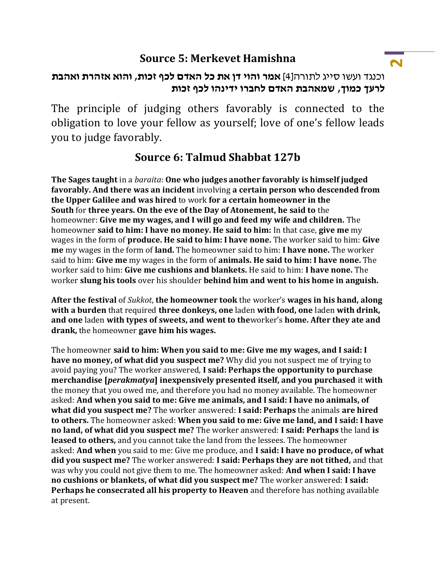#### **Source 5: Merkevet Hamishna**

#### וכנגד ועשו סייג לתורה] 4[ **אמר והוי דן את כל האדם לכף זכות, והוא אזהרת ואהבת לרעך כמוך, שמאהבת האדם לחברו ידינהו לכף זכות**

The principle of judging others favorably is connected to the obligation to love your fellow as yourself; love of one's fellow leads you to judge favorably.

### **Source 6: Talmud Shabbat 127b**

**The Sages taught** in a *baraita*: **One who judges another favorably is himself judged favorably. And there was an incident** involving **a certain person who descended from the Upper Galilee and was hired** to work **for a certain homeowner in the South** for **three years. On the eve of the Day of Atonement, he said to** the homeowner: **Give me my wages, and I will go and feed my wife and children.** The homeowner **said to him: I have no money. He said to him:** In that case, **give me** my wages in the form of **produce. He said to him: I have none.** The worker said to him: **Give me** my wages in the form of **land.** The homeowner said to him: **I have none.** The worker said to him: **Give me** my wages in the form of **animals. He said to him: I have none.** The worker said to him: **Give me cushions and blankets.** He said to him: **I have none.** The worker **slung his tools** over his shoulder **behind him and went to his home in anguish.**

**After the festival** of *Sukkot*, **the homeowner took** the worker's **wages in his hand, along with a burden** that required **three donkeys, one** laden **with food, one** laden **with drink, and one** laden **with types of sweets, and went to the**worker's **home. After they ate and drank,** the homeowner **gave him his wages.**

The homeowner **said to him: When you said to me: Give me my wages, and I said: I have no money, of what did you suspect me?** Why did you not suspect me of trying to avoid paying you? The worker answered, **I said: Perhaps the opportunity to purchase merchandise [***perakmatya***] inexpensively presented itself, and you purchased** it **with** the money that you owed me, and therefore you had no money available. The homeowner asked: **And when you said to me: Give me animals, and I said: I have no animals, of what did you suspect me?** The worker answered: **I said: Perhaps** the animals **are hired to others.** The homeowner asked: **When you said to me: Give me land, and I said: I have no land, of what did you suspect me?** The worker answered: **I said: Perhaps** the land **is leased to others,** and you cannot take the land from the lessees. The homeowner asked: **And when** you said to me: Give me produce, and **I said: I have no produce, of what did you suspect me?** The worker answered: **I said: Perhaps they are not tithed,** and that was why you could not give them to me. The homeowner asked: **And when I said: I have no cushions or blankets, of what did you suspect me?** The worker answered: **I said: Perhaps he consecrated all his property to Heaven** and therefore has nothing available at present.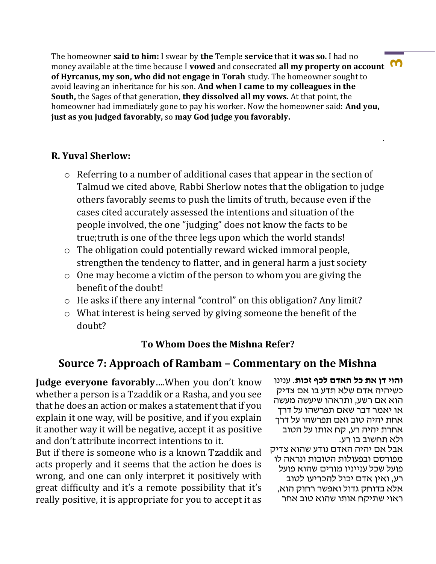**3**money available at the time because I **vowed** and consecrated **all my property on account**  The homeowner **said to him:** I swear by **the** Temple **service** that **it was so.** I had no **of Hyrcanus, my son, who did not engage in Torah** study. The homeowner sought to avoid leaving an inheritance for his son. **And when I came to my colleagues in the South,** the Sages of that generation, **they dissolved all my vows.** At that point, the homeowner had immediately gone to pay his worker. Now the homeowner said: **And you, just as you judged favorably,** so **may God judge you favorably.**

#### **R. Yuval Sherlow:**

- o Referring to a number of additional cases that appear in the section of Talmud we cited above, Rabbi Sherlow notes that the obligation to judge others favorably seems to push the limits of truth, because even if the cases cited accurately assessed the intentions and situation of the people involved, the one "judging" does not know the facts to be true;truth is one of the three legs upon which the world stands!
- o The obligation could potentially reward wicked immoral people, strengthen the tendency to flatter, and in general harm a just society
- o One may become a victim of the person to whom you are giving the benefit of the doubt!
- o He asks if there any internal "control" on this obligation? Any limit?
- o What interest is being served by giving someone the benefit of the doubt?

#### **To Whom Does the Mishna Refer?**

### **Source 7: Approach of Rambam – Commentary on the Mishna**

**Judge everyone favorably**….When you don't know whether a person is a Tzaddik or a Rasha, and you see that he does an action or makes a statement that if you explain it one way, will be positive, and if you explain it another way it will be negative, accept it as positive and don't attribute incorrect intentions to it.

But if there is someone who is a known Tzaddik and acts properly and it seems that the action he does is wrong, and one can only interpret it positively with great difficulty and it's a remote possibility that it's really positive, it is appropriate for you to accept it as

**והוי דן את כל האדם לכף זכות**. ענינו כשיהיה אדם שלא תדע בו אם צדיק הוא אם רשע, ותראהו שיעשה מעשה או יאמר דבר שאם תפרשהו על דרך אחת יהיה טוב ואם תפרשהו על דרך אחרת יהיה רע, קח אותו על הטוב ולא תחשוב בו רע. אבל אם יהיה האדם נודע שהוא צדיק מפורסם ובפעולות הטובות ונראה לו פועל שכל ענייניו מורים שהוא פועל רע, ואין אדם יכול להכריעו לטוב אלא בדוחק גדול ואפשר רחוק הוא, ראוי שתיקח אותו שהוא טוב אחר

.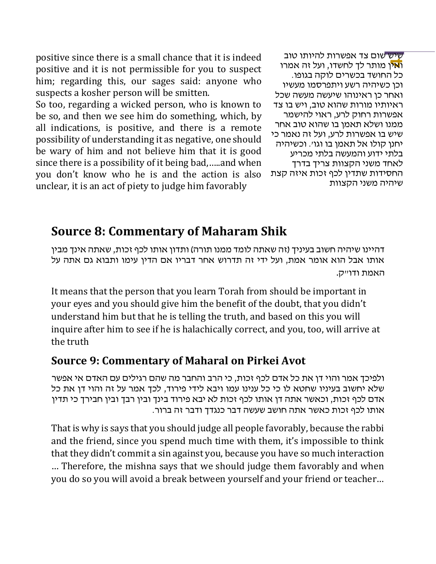positive since there is a small chance that it is indeed positive and it is not permissible for you to suspect him; regarding this, our sages said: anyone who suspects a kosher person will be smitten.

So too, regarding a wicked person, who is known to be so, and then we see him do something, which, by all indications, is positive, and there is a remote possibility of understanding it as negative, one should be wary of him and not believe him that it is good since there is a possibility of it being bad,…..and when you don't know who he is and the action is also unclear, it is an act of piety to judge him favorably

**4**ואין מותר לך לחשדו, ועל זה אמרו שיש שום צד אפשרות להיותו טוב כל החושד בכשרים לוקה בגופו. וכן כשיהיה רשע ויתפרסמו מעשיו ואחר כן ראינוהו שיעשה מעשה שכל ראיותיו מורות שהוא טוב, ויש בו צד אפשרות רחוק לרע, ראוי להישמר ממנו ושלא תאמן בו שהוא טוב אחר שיש בו אפשרות לרע, ועל זה נאמר כי יחנן קולו אל תאמן בו וגו'. וכשיהיה בלתי ידוע והמעשה בלתי מכריע לאחד משני הקצוות צריך בדרך החסידות שתדין לכף זכות איזה קצת שיהיה משני הקצוות

### **Source 8: Commentary of Maharam Shik**

דהיינו שיהיה חשוב בעיניך (זה שאתה לומד ממנו תורה) ותדון אותו לכף זכות, שאתה אינך מבין אותו אבל הוא אומר אמת, ועל ידי זה תדרוש אחר דבריו אם הדין עימו ותבוא גם אתה על האמת ודו"ק.

It means that the person that you learn Torah from should be important in your eyes and you should give him the benefit of the doubt, that you didn't understand him but that he is telling the truth, and based on this you will inquire after him to see if he is halachically correct, and you, too, will arrive at the truth

#### **Source 9: Commentary of Maharal on Pirkei Avot**

ולפיכך אמר והוי דן את כל אדם לכף זכות, כי הרב והחבר מה שהם רגילים עם האדם אי אפשר שלא יחשוב בעיניו שחטא לו כי כל ענינו עמו ויבא לידי פירוד, לכך אמר על זה והוי דן את כל אדם לכף זכות, וכאשר אתה דן אותו לכף זכות לא יבא פירוד בינך ובין רבך ובין חבירך כי תדין אותו לכף זכות כאשר אתה חושב שעשה דבר כנגדך ודבר זה ברור.

That is why is says that you should judge all people favorably, because the rabbi and the friend, since you spend much time with them, it's impossible to think that they didn't commit a sin against you, because you have so much interaction … Therefore, the mishna says that we should judge them favorably and when you do so you will avoid a break between yourself and your friend or teacher…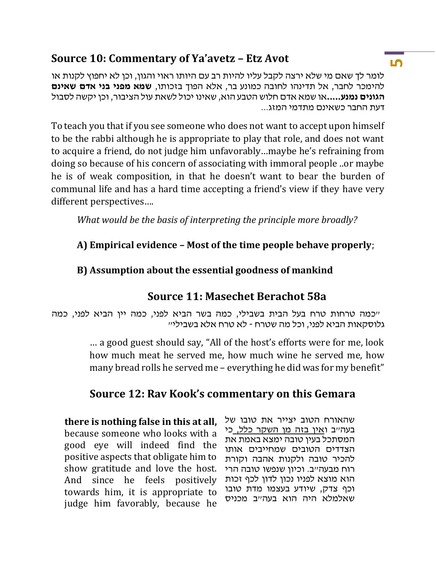#### **Source 10: Commentary of Ya'avetz – Etz Avot**

לומר לך שאם מי שלא ירצה לקבל עליו להיות רב עם היותו ראוי והגון, וכן לא יחפוץ לקנות או להימכר לחבר, אל תדינהו לחובה כמונע בר, אלא הפוך בזכותו, **שמא מפני בני אדם שאינם הגונים נמנע.....** או שמא אדם חלוש הטבע הוא, שאינו יכול לשאת עול הציבור, וכן יקשה לסבול דעת החבר כשאינם מתדמי המזג...

To teach you that if you see someone who does not want to accept upon himself to be the rabbi although he is appropriate to play that role, and does not want to acquire a friend, do not judge him unfavorably…maybe he's refraining from doing so because of his concern of associating with immoral people ..or maybe he is of weak composition, in that he doesn't want to bear the burden of communal life and has a hard time accepting a friend's view if they have very different perspectives….

*What would be the basis of interpreting the principle more broadly?* 

**A) Empirical evidence – Most of the time people behave properly**;

#### **B) Assumption about the essential goodness of mankind**

### **Source 11: Masechet Berachot 58a**

"כמה טרחות טרח בעל הבית בשבילי, כמה בשר הביא לפני, כמה יין הביא לפני, כמה גלוסקאות הביא לפני, וכל מה שטרח - לא טרח אלא בשבילי"

> … a good guest should say, "All of the host's efforts were for me, look how much meat he served me, how much wine he served me, how many bread rolls he served me – everything he did was for my benefit"

### **Source 12: Rav Kook's commentary on this Gemara**

**there is nothing false in this at all,** because someone who looks with a good eye will indeed find the positive aspects that obligate him to show gratitude and love the host. And since he feels positively towards him, it is appropriate to judge him favorably, because he

שהאורח הטוב יצייר את טובו של בעה״ב ואין בזה מן השקר כלל, כי המסתכל בעין טובה ימצא באמת את הצדדים הטובים שמחייבים אותו להכיר טובה ולקנות אהבה וקורת רוח מבעה"ב. וכיון שנפשו טובה הרי הוא מוצא לפניו נכון לדון לכף זכות וכף צדק, שיודע בעצמו מדת טובו שאלמלא היה הוא בעה"ב מכניס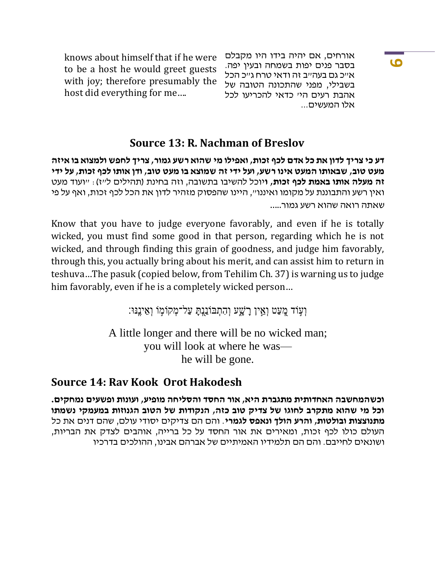אורחים, אם יהיה בידו היו מקבלם בסבר פנים יפות בשמחה ובעין יפה. אייכ גם בעהייב זה ודאי טרח גייכ הכל בשבילי, מפני שהתכונה הטובה של אהבת רעים הי' כדאי להכריעו לכל אלו המעשים...

knows about himself that if he were to be a host he would greet guests with joy; therefore presumably the host did everything for me….

### **Source 13: R. Nachman of Breslov**

**דע כי צריך לדון את כל אדם לכף זכות, ואפילו מי שהוא רשע גמור, צריך לחפש ולמצוא בו איזה מעט טוב, שבאותו המעט אינו רשע, ועל ידי זה שמוצא בו מעט טוב, ודן אותו לכף זכות, על ידי זה מעלה אותו באמת לכף זכות, ו**יוכל להשיבו בתשובה, וזה בחינת (תהילים ל"ז): "ועוד מעט ואין רשע והתבוננת על מקומו ואיננו", היינו שהפסוק מזהיר לדון את הכל לכף זכות, ואף על פי שאתה רואה שהוא רשע גמור.....

Know that you have to judge everyone favorably, and even if he is totally wicked, you must find some good in that person, regarding which he is not wicked, and through finding this grain of goodness, and judge him favorably, through this, you actually bring about his merit, and can assist him to return in teshuva…The pasuk (copied below, from Tehilim Ch. 37) is warning us to judge him favorably, even if he is a completely wicked person…

וְעָוֹד מֶעַט וְאֵין רַשֵׁע וְהִתְבּוֹנַנְתַּ עַל־מְקוֹמְוֹ וְאֵינֵנּוּ:

A little longer and there will be no wicked man; you will look at where he was he will be gone.

### **Source 14: Rav Kook Orot Hakodesh**

**וכשהמחשבה האחדותית מתגברת היא, אור החסד והסליחה מופיע, ועונות ופשעים נמחקים. וכל מי שהוא מתקרב לחוגו של צדיק טוב כזה, הנקודות של הטוב הגנוזות במעמקי נשמתו מתנוצצות ובולטות, והרע הולך ונאפס לגמרי**. והם הם צדיקים יסודי עולם, שהם דנים את כל העולם כולו לכף זכות, ומאירים את אור החסד על כל ברייה, אוהבים לצדק את הבריות, ושונאים לחייבם. והם הם תלמידיו האמיתיים של אברהם אבינו, ההולכים בדרכיו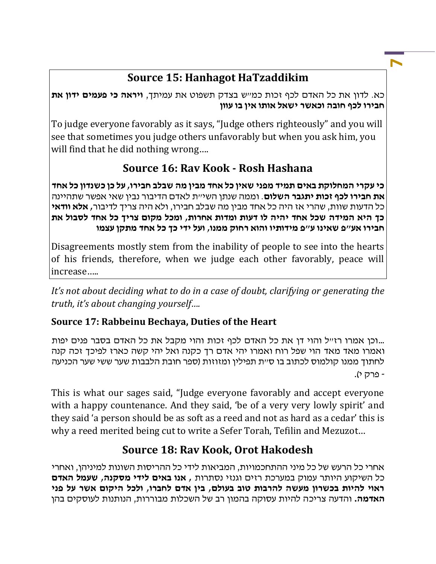### **Source 15: Hanhagot HaTzaddikim**

כא. לדון את כל האדם לכף זכות כמ"ש בצדק תשפוט את עמיתך, **ויראה כי פעמים ידון את חבירו לכף חובה וכאשר ישאל אותו אין בו עוון**

To judge everyone favorably as it says, "Judge others righteously" and you will see that sometimes you judge others unfavorably but when you ask him, you will find that he did nothing wrong….

### **Source 16: Rav Kook - Rosh Hashana**

**כי עקרי המחלוקת באים תמיד מפני שאין כל אחד מבין מה שבלב חבירו, על כן כשנדון כל אחד את חבירו לכף זכות יתגבר השלום**. וממה שנתן השי"ת לאדם הדיבור נבין שאי אפשר שתהיינה כל הדעות שוות, שהרי אז היה כל אחד מבין מה שבלב חבירו, ולא היה צריך לדיבור**, אלא וודאי כך היא המידה שכל אחד יהיה לו דעות ומדות אחרות, ומכל מקום צריך כל אחד לסבול את חבירו אע"פ שאינו ע"פ מידותיו והוא רחוק ממנו, ועל ידי כך כל אחד מתקן עצמו**

Disagreements mostly stem from the inability of people to see into the hearts of his friends, therefore, when we judge each other favorably, peace will increase…..

It's not about deciding what to do in a case of doubt, clarifying or generating the *truth, it's about changing yourself….*

#### **Source 17: Rabbeinu Bechaya, Duties of the Heart**

...וכן אמרו רז"ל והוי דן את כל האדם לכף זכות והוי מקבל את כל האדם בסבר פנים יפות ואמרו מאד מאד הוי שפל רוח ואמרו יהי אדם רך כקנה ואל יהי קשה כארז לפיכך זכה קנה לחתוך ממנו קולמוס לכתוב בו ס״ת תפילין ומזוזות (ספר חובת הלבבות שער ששי שער הכניעה - פרק י(.

This is what our sages said, "Judge everyone favorably and accept everyone with a happy countenance. And they said, 'be of a very very lowly spirit' and they said 'a person should be as soft as a reed and not as hard as a cedar' this is why a reed merited being cut to write a Sefer Torah, Tefilin and Mezuzot…

### **Source 18: Rav Kook, Orot Hakodesh**

אחרי כל הרעש של כל מיני ההתחכמויות, המביאות לידי כל ההריסות השונות למיניהן, ואחרי כל השיקוע היותר עמוק במערכת רזים וגנזי נסתרות **, אנו באים לידי מסקנה, שעמל האדם ראוי להיות בכשרון מעשה להרבות טוב בעולם, בין אדם לחברו, ולכל היקום אשר על פני האדמה.** והדעה צריכה להיות עסוקה בהמון רב של השכלות מבוררות, הנותנות לעוסקים בהן